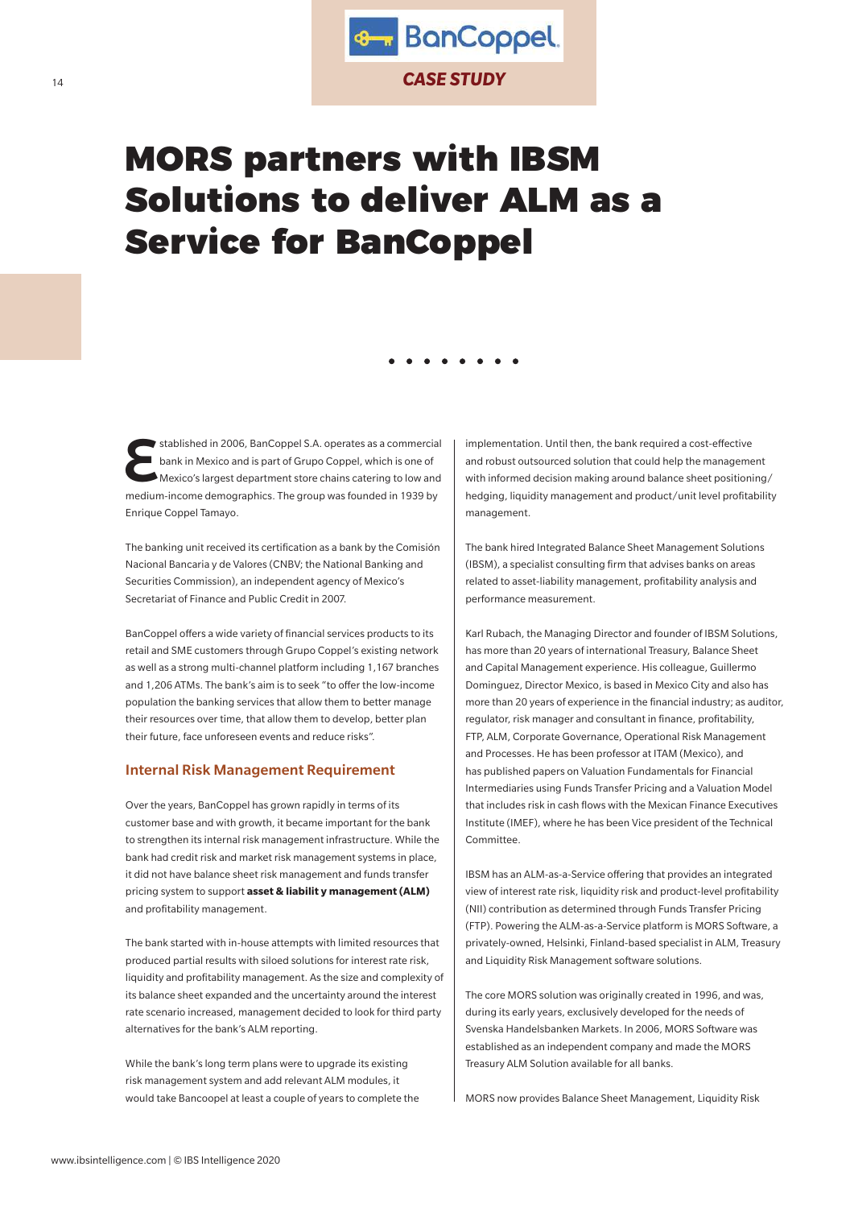

# MORS partners with IBSM Solutions to deliver ALM as a Service for BanCoppel

stablished in 2006, BanCoppel S.A. operates as a commercial<br>
bank in Mexico and is part of Grupo Coppel, which is one of<br>
Mexico's largest department store chains catering to low and<br>
medium in some demonstration. The nume bank in Mexico and is part of Grupo Coppel, which is one of medium-income demographics. The group was founded in 1939 by Enrique Coppel Tamayo.

The banking unit received its certification as a bank by the Comisión Nacional Bancaria y de Valores (CNBV; the National Banking and Securities Commission), an independent agency of Mexico's Secretariat of Finance and Public Credit in 2007.

BanCoppel offers a wide variety of financial services products to its retail and SME customers through Grupo Coppel's existing network as well as a strong multi-channel platform including 1,167 branches and 1,206 ATMs. The bank's aim is to seek "to offer the low-income population the banking services that allow them to better manage their resources over time, that allow them to develop, better plan their future, face unforeseen events and reduce risks".

#### Internal Risk Management Requirement

Over the years, BanCoppel has grown rapidly in terms of its customer base and with growth, it became important for the bank to strengthen its internal risk management infrastructure. While the bank had credit risk and market risk management systems in place, it did not have balance sheet risk management and funds transfer pricing system to support **asset & liabilit y management (ALM)** and profitability management.

The bank started with in-house attempts with limited resources that produced partial results with siloed solutions for interest rate risk, liquidity and profitability management. As the size and complexity of its balance sheet expanded and the uncertainty around the interest rate scenario increased, management decided to look for third party alternatives for the bank's ALM reporting.

While the bank's long term plans were to upgrade its existing risk management system and add relevant ALM modules, it would take Bancoopel at least a couple of years to complete the implementation. Until then, the bank required a cost-effective and robust outsourced solution that could help the management with informed decision making around balance sheet positioning/ hedging, liquidity management and product/unit level profitability management.

The bank hired Integrated Balance Sheet Management Solutions (IBSM), a specialist consulting firm that advises banks on areas related to asset-liability management, profitability analysis and performance measurement.

Karl Rubach, the Managing Director and founder of IBSM Solutions, has more than 20 years of international Treasury, Balance Sheet and Capital Management experience. His colleague, Guillermo Dominguez, Director Mexico, is based in Mexico City and also has more than 20 years of experience in the financial industry; as auditor, regulator, risk manager and consultant in finance, profitability, FTP, ALM, Corporate Governance, Operational Risk Management and Processes. He has been professor at ITAM (Mexico), and has published papers on Valuation Fundamentals for Financial Intermediaries using Funds Transfer Pricing and a Valuation Model that includes risk in cash flows with the Mexican Finance Executives Institute (IMEF), where he has been Vice president of the Technical Committee.

IBSM has an ALM-as-a-Service offering that provides an integrated view of interest rate risk, liquidity risk and product-level profitability (NII) contribution as determined through Funds Transfer Pricing (FTP). Powering the ALM-as-a-Service platform is MORS Software, a privately-owned, Helsinki, Finland-based specialist in ALM, Treasury and Liquidity Risk Management software solutions.

The core MORS solution was originally created in 1996, and was, during its early years, exclusively developed for the needs of Svenska Handelsbanken Markets. In 2006, MORS Software was established as an independent company and made the MORS Treasury ALM Solution available for all banks.

MORS now provides Balance Sheet Management, Liquidity Risk